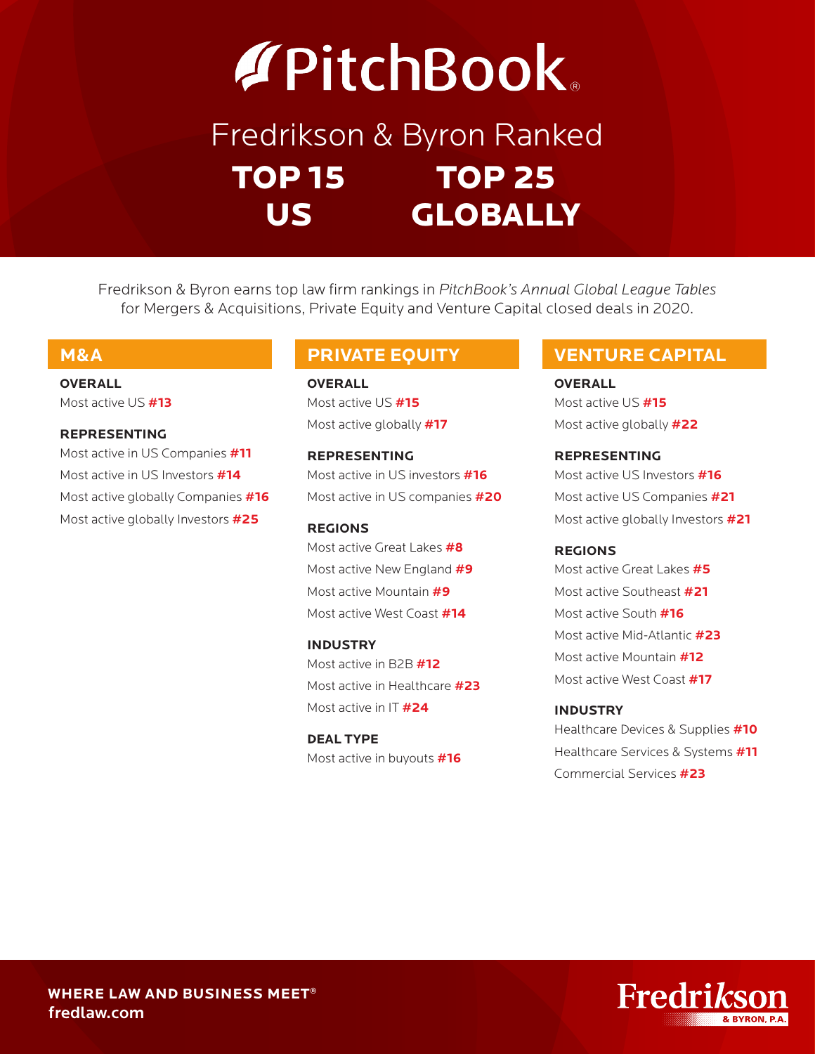# **APitchBook**

## Fredrikson & Byron Ranked TOP 15 TOP 25 US GLOBALLY

Fredrikson & Byron earns top law firm rankings in *PitchBook's Annual Global League Tables* for Mergers & Acquisitions, Private Equity and Venture Capital closed deals in 2020.

**OVERALL** Most active US **#13**

### **REPRESENTING**

Most active in US Companies **#11** Most active in US Investors **#14** Most active globally Companies **#16** Most active globally Investors **#25**

**OVERALL** Most active US **#15** Most active globally **#17**

**REPRESENTING** Most active in US investors **#16** Most active in US companies **#20**

**REGIONS** Most active Great Lakes **#8** Most active New England **#9** Most active Mountain **#9** Most active West Coast **#14**

**INDUSTRY** Most active in B2B **#12** Most active in Healthcare **#23** Most active in IT **#24**

**DEAL TYPE** Most active in buyouts **#16**

### **M&A PRIVATE EQUITY VENTURE CAPITAL**

**OVERALL** Most active US **#15** Most active globally **#22**

**REPRESENTING** Most active US Investors **#16** Most active US Companies **#21** Most active globally Investors **#21**

### **REGIONS**

Most active Great Lakes **#5** Most active Southeast **#21** Most active South **#16** Most active Mid-Atlantic **#23** Most active Mountain **#12** Most active West Coast **#17**

### **INDUSTRY**

Healthcare Devices & Supplies **#10** Healthcare Services & Systems **#11** Commercial Services **#23**

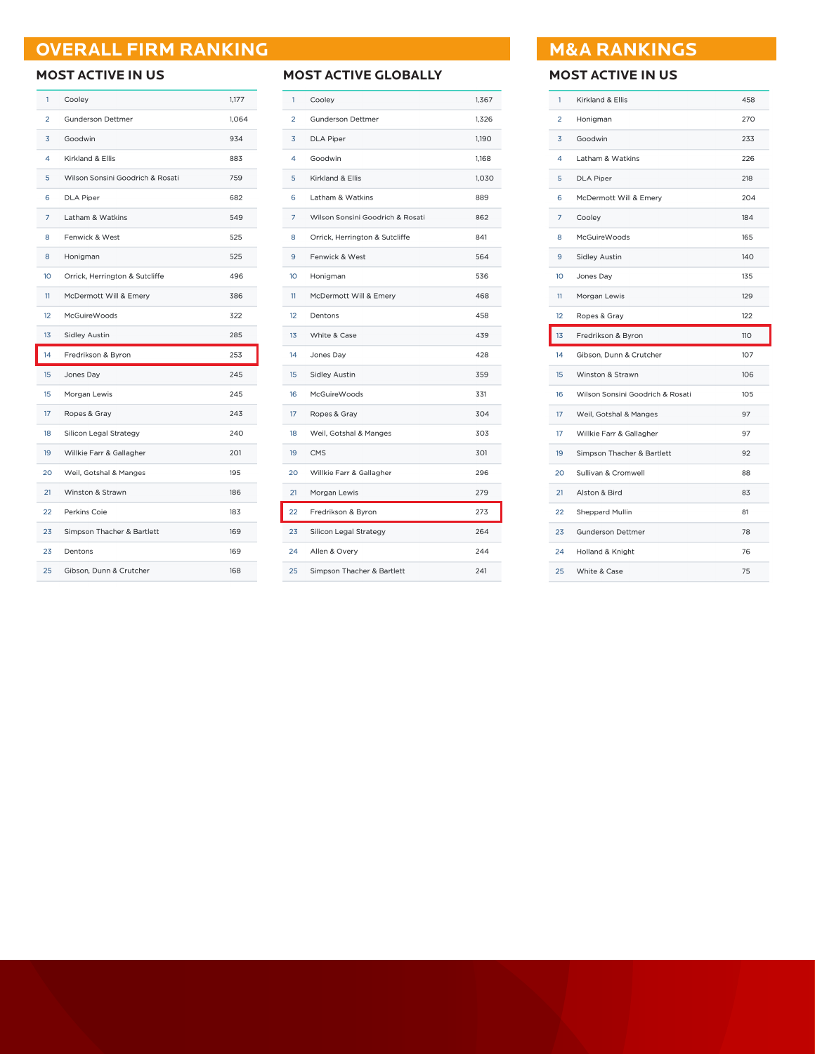### **OVERALL FIRM RANKING MAGE ASSAULTED AT A RANKINGS**

| 1  | Cooley                           | 1,177 |
|----|----------------------------------|-------|
| 2  | <b>Gunderson Dettmer</b>         | 1,064 |
| 3  | Goodwin                          | 934   |
| 4  | Kirkland & Ellis                 | 883   |
| 5  | Wilson Sonsini Goodrich & Rosati | 759   |
| 6  | <b>DLA Piper</b>                 | 682   |
| 7  | Latham & Watkins                 | 549   |
| 8  | Fenwick & West                   | 525   |
| 8  | Honigman                         | 525   |
| 10 | Orrick, Herrington & Sutcliffe   | 496   |
| 11 | McDermott Will & Emery           | 386   |
| 12 | <b>McGuireWoods</b>              | 322   |
| 13 | <b>Sidley Austin</b>             | 285   |
|    |                                  |       |
| 14 | Fredrikson & Byron               | 253   |
| 15 | Jones Day                        | 245   |
| 15 | Morgan Lewis                     | 245   |
| 17 | Ropes & Gray                     | 243   |
| 18 | Silicon Legal Strategy           | 240   |
| 19 | Willkie Farr & Gallagher         | 201   |
| 20 | Weil, Gotshal & Manges           | 195   |
| 21 | Winston & Strawn                 | 186   |
| 22 | Perkins Coie                     | 183   |
| 23 | Simpson Thacher & Bartlett       | 169   |
| 23 | Dentons                          | 169   |

### **MOST ACTIVE IN US MOST ACTIVE GLOBALLY MOST ACTIVE IN US**

| 1  | Cooley                           | 1,367 |
|----|----------------------------------|-------|
| 2  | <b>Gunderson Dettmer</b>         | 1,326 |
| 3  | <b>DLA Piper</b>                 | 1,190 |
| 4  | Goodwin                          | 1,168 |
| 5  | Kirkland & Ellis                 | 1,030 |
| 6  | Latham & Watkins                 | 889   |
| 7  | Wilson Sonsini Goodrich & Rosati | 862   |
| 8  | Orrick, Herrington & Sutcliffe   | 841   |
| 9  | Fenwick & West                   | 564   |
| 10 | Honigman                         | 536   |
| 11 | McDermott Will & Emery           | 468   |
| 12 | Dentons                          | 458   |
| 13 | White & Case                     | 439   |
| 14 | Jones Day                        | 428   |
| 15 | <b>Sidley Austin</b>             | 359   |
| 16 | <b>McGuireWoods</b>              | 331   |
| 17 | Ropes & Gray                     | 304   |
| 18 | Weil, Gotshal & Manges           | 303   |
| 19 | <b>CMS</b>                       | 301   |
| 20 | Willkie Farr & Gallagher         | 296   |
| 21 | Morgan Lewis                     | 279   |
| 22 | Fredrikson & Byron               | 273   |
| 23 | Silicon Legal Strategy           | 264   |
| 24 | Allen & Overy                    | 244   |
| 25 | Simpson Thacher & Bartlett       | 241   |

| 1  | Kirkland & Ellis                 | 458 |
|----|----------------------------------|-----|
| 2  | Honigman                         | 270 |
| 3  | Goodwin                          | 233 |
| 4  | Latham & Watkins                 | 226 |
| 5  | <b>DLA Piper</b>                 | 218 |
| 6  | McDermott Will & Emery           | 204 |
| 7  | Cooley                           | 184 |
| 8  | McGuireWoods                     | 165 |
| 9  | <b>Sidley Austin</b>             | 140 |
| 10 | Jones Day                        | 135 |
| 11 | Morgan Lewis                     | 129 |
| 12 | Ropes & Gray                     | 122 |
|    |                                  |     |
| 13 | Fredrikson & Byron               | 110 |
| 14 | Gibson, Dunn & Crutcher          | 107 |
| 15 | Winston & Strawn                 | 106 |
| 16 | Wilson Sonsini Goodrich & Rosati | 105 |
| 17 | Weil, Gotshal & Manges           | 97  |
| 17 | Willkie Farr & Gallagher         | 97  |
| 19 | Simpson Thacher & Bartlett       | 92  |
| 20 | Sullivan & Cromwell              | 88  |
| 21 | Alston & Bird                    | 83  |
| 22 | Sheppard Mullin                  | 81  |
| 23 | <b>Gunderson Dettmer</b>         | 78  |
| 24 | Holland & Knight                 | 76  |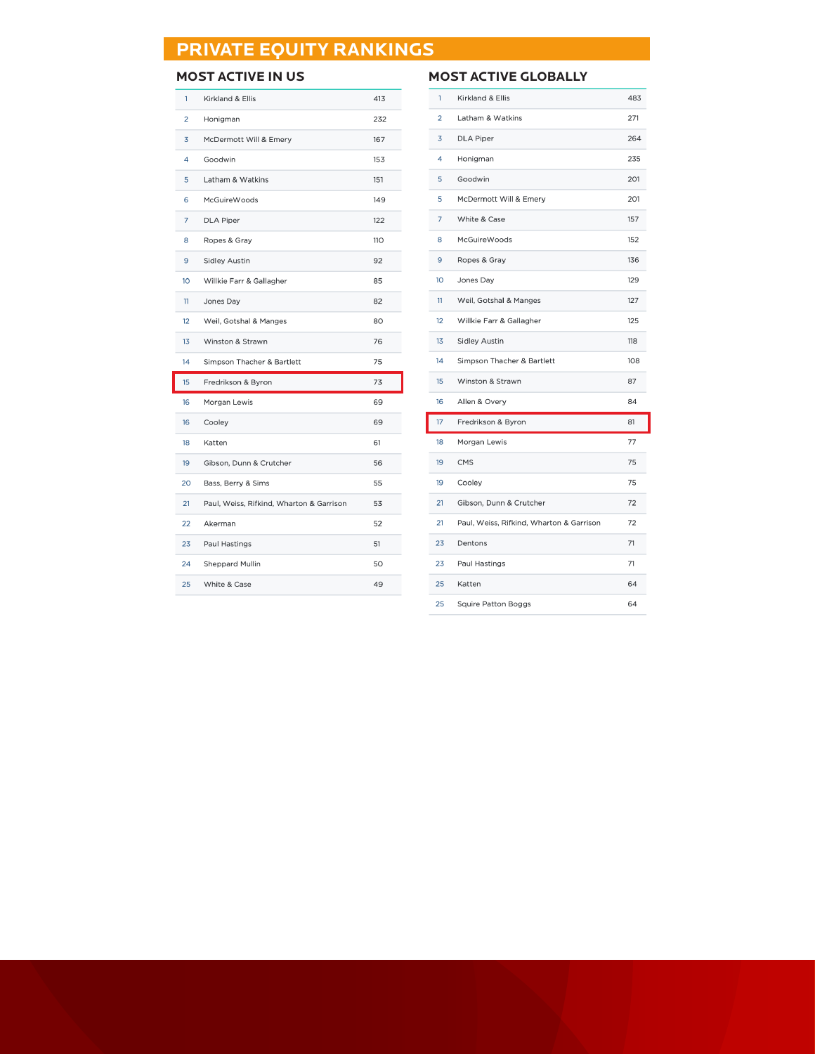### **PRIVATE EQUITY RANKINGS**

| 1               | Kirkland & Ellis                         | 413 |
|-----------------|------------------------------------------|-----|
| $\overline{2}$  | Honigman                                 | 232 |
| 3               | McDermott Will & Emery                   | 167 |
| 4               | Goodwin                                  | 153 |
| 5               | Latham & Watkins                         | 151 |
| 6               | <b>McGuireWoods</b>                      | 149 |
| 7               | <b>DLA Piper</b>                         | 122 |
| 8               | Ropes & Gray                             | 110 |
| 9               | <b>Sidley Austin</b>                     | 92  |
| 10 <sup>°</sup> | Willkie Farr & Gallagher                 | 85  |
| 11              | Jones Day                                | 82  |
| 12              | Weil, Gotshal & Manges                   | 80  |
| 13              | Winston & Strawn                         | 76  |
|                 |                                          |     |
| 14              | Simpson Thacher & Bartlett               | 75  |
| 15              | Fredrikson & Byron                       | 73  |
| 16              | Morgan Lewis                             | 69  |
| 16              | Cooley                                   | 69  |
| 18              | Katten                                   | 61  |
| 19              | Gibson, Dunn & Crutcher                  | 56  |
| 20              | Bass, Berry & Sims                       | 55  |
| 21              | Paul, Weiss, Rifkind, Wharton & Garrison | 53  |
| 22              | Akerman                                  | 52  |
| 23              | Paul Hastings                            | 51  |
| 24              | <b>Sheppard Mullin</b>                   | 50  |
| 25              | White & Case                             | 49  |

### **MOST ACTIVE IN US MOST ACTIVE GLOBALLY**

| 1               | Kirkland & Ellis                         | 483 |
|-----------------|------------------------------------------|-----|
| 2               | Latham & Watkins                         | 271 |
| 3               | <b>DLA Piper</b>                         | 264 |
| 4               | Honigman                                 | 235 |
| 5               | Goodwin                                  | 201 |
| 5               | McDermott Will & Emery                   | 201 |
| 7               | White & Case                             | 157 |
| 8               | <b>McGuireWoods</b>                      | 152 |
| 9               | Ropes & Gray                             | 136 |
| 10 <sup>°</sup> | Jones Day                                | 129 |
| 11              | Weil, Gotshal & Manges                   | 127 |
| 12              | Willkie Farr & Gallagher                 | 125 |
| 13              | <b>Sidley Austin</b>                     | 118 |
| 14              | Simpson Thacher & Bartlett               | 108 |
| 15              | Winston & Strawn                         | 87  |
| 16              | Allen & Overy                            | 84  |
| 17              | Fredrikson & Byron                       | 81  |
| 18              | Morgan Lewis                             | 77  |
| 19              | <b>CMS</b>                               | 75  |
| 19              | Cooley                                   | 75  |
| 21              | Gibson, Dunn & Crutcher                  | 72  |
| 21              | Paul, Weiss, Rifkind, Wharton & Garrison | 72  |
| 23              | Dentons                                  | 71  |
| 23              | Paul Hastings                            | 71  |
| 25              | Katten                                   | 64  |
| 25              | <b>Squire Patton Boggs</b>               | 64  |
|                 |                                          |     |